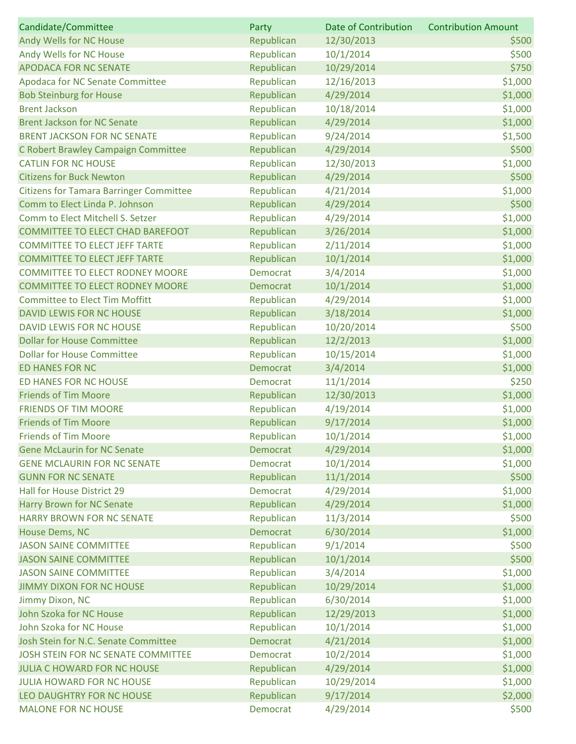| Candidate/Committee                            | Party           | Date of Contribution | <b>Contribution Amount</b> |
|------------------------------------------------|-----------------|----------------------|----------------------------|
| Andy Wells for NC House                        | Republican      | 12/30/2013           | \$500                      |
| Andy Wells for NC House                        | Republican      | 10/1/2014            | \$500                      |
| <b>APODACA FOR NC SENATE</b>                   | Republican      | 10/29/2014           | \$750                      |
| Apodaca for NC Senate Committee                | Republican      | 12/16/2013           | \$1,000                    |
| <b>Bob Steinburg for House</b>                 | Republican      | 4/29/2014            | \$1,000                    |
| <b>Brent Jackson</b>                           | Republican      | 10/18/2014           | \$1,000                    |
| <b>Brent Jackson for NC Senate</b>             | Republican      | 4/29/2014            | \$1,000                    |
| <b>BRENT JACKSON FOR NC SENATE</b>             | Republican      | 9/24/2014            | \$1,500                    |
| C Robert Brawley Campaign Committee            | Republican      | 4/29/2014            | \$500                      |
| <b>CATLIN FOR NC HOUSE</b>                     | Republican      | 12/30/2013           | \$1,000                    |
| <b>Citizens for Buck Newton</b>                | Republican      | 4/29/2014            | \$500                      |
| <b>Citizens for Tamara Barringer Committee</b> | Republican      | 4/21/2014            | \$1,000                    |
| Comm to Elect Linda P. Johnson                 | Republican      | 4/29/2014            | \$500                      |
| Comm to Elect Mitchell S. Setzer               | Republican      | 4/29/2014            | \$1,000                    |
| <b>COMMITTEE TO ELECT CHAD BAREFOOT</b>        | Republican      | 3/26/2014            | \$1,000                    |
| <b>COMMITTEE TO ELECT JEFF TARTE</b>           | Republican      | 2/11/2014            | \$1,000                    |
| <b>COMMITTEE TO ELECT JEFF TARTE</b>           | Republican      | 10/1/2014            | \$1,000                    |
| <b>COMMITTEE TO ELECT RODNEY MOORE</b>         | <b>Democrat</b> | 3/4/2014             | \$1,000                    |
| <b>COMMITTEE TO ELECT RODNEY MOORE</b>         | <b>Democrat</b> | 10/1/2014            | \$1,000                    |
| <b>Committee to Elect Tim Moffitt</b>          | Republican      | 4/29/2014            | \$1,000                    |
| <b>DAVID LEWIS FOR NC HOUSE</b>                | Republican      | 3/18/2014            | \$1,000                    |
| DAVID LEWIS FOR NC HOUSE                       | Republican      | 10/20/2014           | \$500                      |
| <b>Dollar for House Committee</b>              | Republican      | 12/2/2013            | \$1,000                    |
| <b>Dollar for House Committee</b>              | Republican      | 10/15/2014           | \$1,000                    |
| <b>ED HANES FOR NC</b>                         | <b>Democrat</b> | 3/4/2014             | \$1,000                    |
| ED HANES FOR NC HOUSE                          | Democrat        | 11/1/2014            | \$250                      |
| <b>Friends of Tim Moore</b>                    | Republican      | 12/30/2013           | \$1,000                    |
| <b>FRIENDS OF TIM MOORE</b>                    | Republican      | 4/19/2014            | \$1,000                    |
| <b>Friends of Tim Moore</b>                    | Republican      | 9/17/2014            | \$1,000                    |
| <b>Friends of Tim Moore</b>                    | Republican      | 10/1/2014            | \$1,000                    |
| <b>Gene McLaurin for NC Senate</b>             | <b>Democrat</b> | 4/29/2014            | \$1,000                    |
| <b>GENE MCLAURIN FOR NC SENATE</b>             | Democrat        | 10/1/2014            | \$1,000                    |
| <b>GUNN FOR NC SENATE</b>                      | Republican      | 11/1/2014            | \$500                      |
| Hall for House District 29                     | Democrat        | 4/29/2014            | \$1,000                    |
| Harry Brown for NC Senate                      | Republican      | 4/29/2014            | \$1,000                    |
| <b>HARRY BROWN FOR NC SENATE</b>               | Republican      | 11/3/2014            | \$500                      |
| House Dems, NC                                 | <b>Democrat</b> | 6/30/2014            | \$1,000                    |
| <b>JASON SAINE COMMITTEE</b>                   | Republican      | 9/1/2014             | \$500                      |
| <b>JASON SAINE COMMITTEE</b>                   | Republican      | 10/1/2014            | \$500                      |
| <b>JASON SAINE COMMITTEE</b>                   | Republican      | 3/4/2014             | \$1,000                    |
| <b>JIMMY DIXON FOR NC HOUSE</b>                | Republican      | 10/29/2014           | \$1,000                    |
| Jimmy Dixon, NC                                | Republican      | 6/30/2014            | \$1,000                    |
| John Szoka for NC House                        | Republican      | 12/29/2013           | \$1,000                    |
| John Szoka for NC House                        | Republican      | 10/1/2014            | \$1,000                    |
| Josh Stein for N.C. Senate Committee           | <b>Democrat</b> | 4/21/2014            | \$1,000                    |
| JOSH STEIN FOR NC SENATE COMMITTEE             | Democrat        | 10/2/2014            | \$1,000                    |
| <b>JULIA C HOWARD FOR NC HOUSE</b>             | Republican      | 4/29/2014            | \$1,000                    |
| <b>JULIA HOWARD FOR NC HOUSE</b>               | Republican      | 10/29/2014           | \$1,000                    |
| LEO DAUGHTRY FOR NC HOUSE                      | Republican      | 9/17/2014            | \$2,000                    |
| <b>MALONE FOR NC HOUSE</b>                     | <b>Democrat</b> | 4/29/2014            | \$500                      |